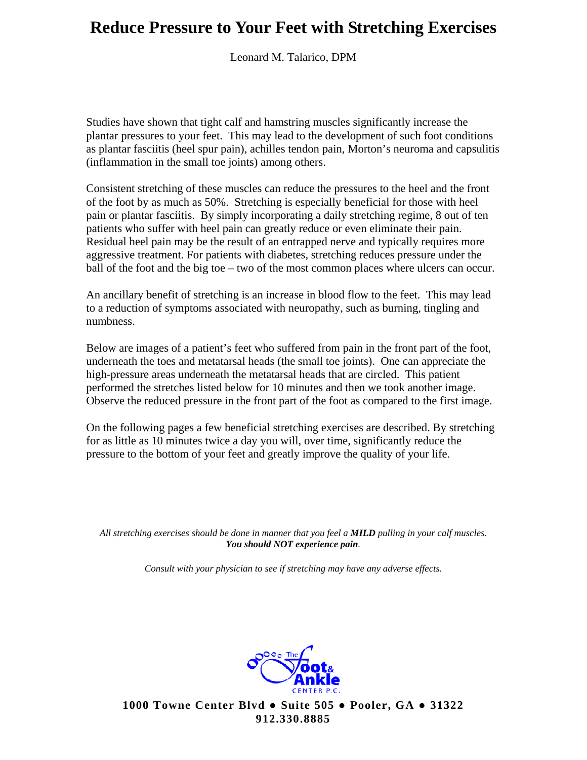Leonard M. Talarico, DPM

Studies have shown that tight calf and hamstring muscles significantly increase the plantar pressures to your feet. This may lead to the development of such foot conditions as plantar fasciitis (heel spur pain), achilles tendon pain, Morton's neuroma and capsulitis (inflammation in the small toe joints) among others.

Consistent stretching of these muscles can reduce the pressures to the heel and the front of the foot by as much as 50%. Stretching is especially beneficial for those with heel pain or plantar fasciitis. By simply incorporating a daily stretching regime, 8 out of ten patients who suffer with heel pain can greatly reduce or even eliminate their pain. Residual heel pain may be the result of an entrapped nerve and typically requires more aggressive treatment. For patients with diabetes, stretching reduces pressure under the ball of the foot and the big toe – two of the most common places where ulcers can occur.

An ancillary benefit of stretching is an increase in blood flow to the feet. This may lead to a reduction of symptoms associated with neuropathy, such as burning, tingling and numbness.

Below are images of a patient's feet who suffered from pain in the front part of the foot, underneath the toes and metatarsal heads (the small toe joints). One can appreciate the high-pressure areas underneath the metatarsal heads that are circled. This patient performed the stretches listed below for 10 minutes and then we took another image. Observe the reduced pressure in the front part of the foot as compared to the first image.

On the following pages a few beneficial stretching exercises are described. By stretching for as little as 10 minutes twice a day you will, over time, significantly reduce the pressure to the bottom of your feet and greatly improve the quality of your life.

*All stretching exercises should be done in manner that you feel a MILD pulling in your calf muscles. You should NOT experience pain.* 

*Consult with your physician to see if stretching may have any adverse effects.*

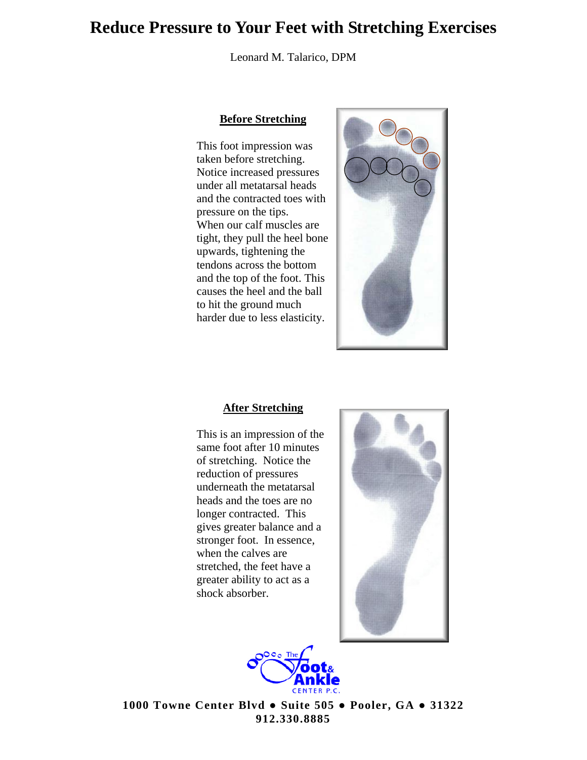Leonard M. Talarico, DPM

#### **Before Stretching**

This foot impression was taken before stretching. Notice increased pressures under all metatarsal heads and the contracted toes with pressure on the tips. When our calf muscles are tight, they pull the heel bone upwards, tightening the tendons across the bottom and the top of the foot. This causes the heel and the ball to hit the ground much harder due to less elasticity.



#### **After Stretching**

This is an impression of the same foot after 10 minutes of stretching. Notice the reduction of pressures underneath the metatarsal heads and the toes are no longer contracted. This gives greater balance and a stronger foot. In essence, when the calves are stretched, the feet have a greater ability to act as a shock absorber.



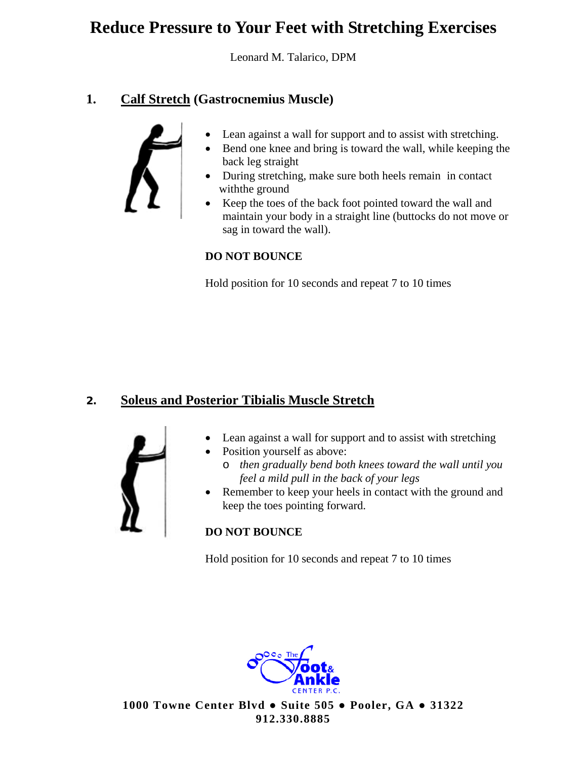Leonard M. Talarico, DPM

## **1. Calf Stretch (Gastrocnemius Muscle)**



- Lean against a wall for support and to assist with stretching.
- Bend one knee and bring is toward the wall, while keeping the back leg straight
- During stretching, make sure both heels remain in contact with the ground
- Keep the toes of the back foot pointed toward the wall and maintain your body in a straight line (buttocks do not move or sag in toward the wall).

### **DO NOT BOUNCE**

Hold position for 10 seconds and repeat 7 to 10 times

## **2. Soleus and Posterior Tibialis Muscle Stretch**



- Lean against a wall for support and to assist with stretching
- Position yourself as above:
	- o *then gradually bend both knees toward the wall until you feel a mild pull in the back of your legs*
- Remember to keep your heels in contact with the ground and keep the toes pointing forward.

### **DO NOT BOUNCE**

Hold position for 10 seconds and repeat 7 to 10 times